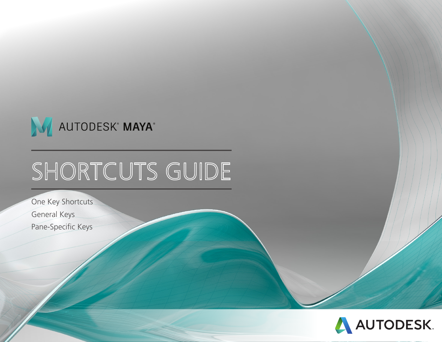

# SHORTCUTS GUIDE

One Key Shortcuts General Keys Pane-Specific Keys

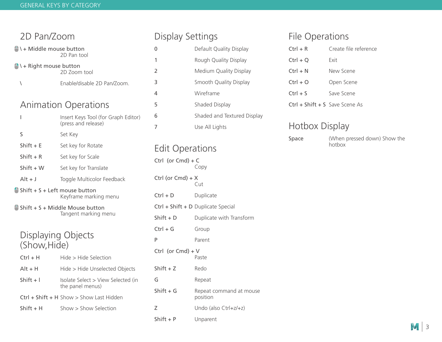| 2D Pan/Zoom                                     |                                                                    | Disi            |  |
|-------------------------------------------------|--------------------------------------------------------------------|-----------------|--|
| N + Middle mouse button                         |                                                                    | 0               |  |
| 2D Pan tool<br>$\bullet$ \ + Right mouse button |                                                                    |                 |  |
|                                                 | 2D Zoom tool                                                       | $\overline{2}$  |  |
| Ι                                               | Enable/disable 2D Pan/Zoom.                                        | 3               |  |
|                                                 |                                                                    | 4               |  |
|                                                 | <b>Animation Operations</b>                                        | 5               |  |
| ı                                               | Insert Keys Tool (for Graph Editor)<br>(press and release)         | 6<br>7          |  |
| S                                               | Set Key                                                            |                 |  |
| Shift $+ E$                                     | Set key for Rotate                                                 | Edi             |  |
| Shift $+ R$                                     | Set key for Scale                                                  | Ctrl            |  |
| $Shift + W$                                     | Set key for Translate                                              |                 |  |
| $Alt + J$                                       | Toggle Multicolor Feedback                                         | Ctrl (          |  |
|                                                 | $\triangle$ Shift + S + Left mouse button<br>Keyframe marking menu | Ctrl +          |  |
|                                                 | Shift + S + Middle Mouse button<br>Tangent marking menu            | Ctrl +<br>Shift |  |
|                                                 |                                                                    | Ctrl +          |  |
| Displaying Objects                              |                                                                    |                 |  |
| (Show, Hide)                                    |                                                                    | P<br>Ctrl       |  |
| $Ctrl + H$                                      | Hide > Hide Selection                                              |                 |  |
| $Alt + H$                                       | Hide > Hide Unselected Objects                                     | Shift           |  |
| $Shift + I$                                     | Isolate Select > View Selected (in<br>the panel menus)             | G<br>Shift      |  |
|                                                 | $Ctrl + Shift + H Show > Show$ Last Hidden                         |                 |  |
| Shift + H                                       | Show > Show Selection                                              | Ζ               |  |

### play Settings

| 0 | Default Quality Display     |
|---|-----------------------------|
| 1 | Rough Quality Display       |
| 2 | Medium Quality Display      |
| 3 | Smooth Quality Display      |
| 4 | Wireframe                   |
| 5 | Shaded Display              |
| 6 | Shaded and Textured Display |
| 7 | Use All Lights              |

### it Operations

 $($ or Cmd $) + C$ Copy  $(or Cmd) + X$ Cut + D Duplicate + Shift + D Duplicate Special + D Duplicate with Transform + G Group Parent  $($ or Cmd $) + V$ Paste + Z Redo Repeat + G Repeat command at mouse position Undo (also Ctrl+z/+z) Shift + P Unparent

### File Operations

| $Ctrl + R$                       | Create file reference |
|----------------------------------|-----------------------|
| $Ctrl + Q$                       | Fxit                  |
| $Ctrl + N$                       | New Scene             |
| $Ctrl + O$                       | Open Scene            |
| $Ctrl + S$                       | Save Scene            |
| $Ctrl + Shift + S$ Save Scene As |                       |

### Hotbox Display

| юе | (Whe |
|----|------|
|    | hoth |

Space (When pressed down) Show the hotbox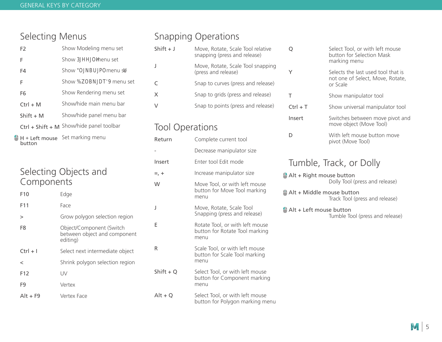### Selecting Menus

| F <sub>2</sub> | Show Modeling menu set                     |
|----------------|--------------------------------------------|
| F              | Show 3HHOH menu set                        |
| F4             | Show ONBUPOmenu se U                       |
| F              | Show 70BNDT9 menu set                      |
| F <sub>6</sub> | Show Rendering menu set                    |
| $Ctrl + M$     | Show/hide main menu bar                    |
| $Shift + M$    | Show/hide panel menu bar                   |
|                | $Ctrl + Shift + M$ Show/hide panel toolbar |

Set marking menu button

### Selecting Objects and **Components**

| F <sub>10</sub> | Edge                                                                 |
|-----------------|----------------------------------------------------------------------|
| F11             | Face                                                                 |
| >               | Grow polygon selection region                                        |
| F8              | Object/Component (Switch<br>between object and component<br>editing) |
| $Ctrl + I$      | Select next intermediate object                                      |
| $\,<\,$         | Shrink polygon selection region                                      |
| F <sub>12</sub> | UV                                                                   |
| F9              | Vertex                                                               |
| $Alt + F9$      | Vertex Face                                                          |

### Snapping Operations

| $Shift + J$ | Move, Rotate, Scale Tool relative<br>snapping (press and release) |
|-------------|-------------------------------------------------------------------|
|             | Move, Rotate, Scale Tool snapping<br>(press and release)          |
|             | Snap to curves (press and release)                                |
| X           | Snap to grids (press and release)                                 |
|             | Snap to points (press and release)                                |

### Tool Operations

| Return      | Complete current tool                                                     |
|-------------|---------------------------------------------------------------------------|
|             | Decrease manipulator size                                                 |
| Insert      | Enter tool Edit mode                                                      |
| $= 1 +$     | Increase manipulator size                                                 |
| W           | Move Tool, or with left mouse<br>button for Move Tool marking<br>menu     |
| J           | Move, Rotate, Scale Tool<br>Snapping (press and release)                  |
| F           | Rotate Tool, or with left mouse<br>button for Rotate Tool marking<br>menu |
| R           | Scale Tool, or with left mouse<br>button for Scale Tool marking<br>menu   |
| Shift + $Q$ | Select Tool, or with left mouse<br>button for Component marking<br>menu   |
| $Alt + Q$   | Select Tool, or with left mouse                                           |

button for Polygon marking menu

| Q          | Select Tool, or with left mouse<br>button for Selection Mask<br>marking menu       |
|------------|------------------------------------------------------------------------------------|
| Υ          | Selects the last used tool that is<br>not one of Select, Move, Rotate,<br>or Scale |
| Т          | Show manipulator tool                                                              |
| $Ctrl + T$ | Show universal manipulator tool                                                    |
| Insert     | Switches between move pivot and<br>move object (Move Tool)                         |
| D          | With left mouse button move<br>pivot (Move Tool)                                   |

### Tumble, Track, or Dolly

 $A$ lt + Right mouse button Dolly Tool (press and release)

Alt + Middle mouse button Track Tool (press and release)

#### Alt + Left mouse button Tumble Tool (press and release)

#### $\mathcal{M}$ 5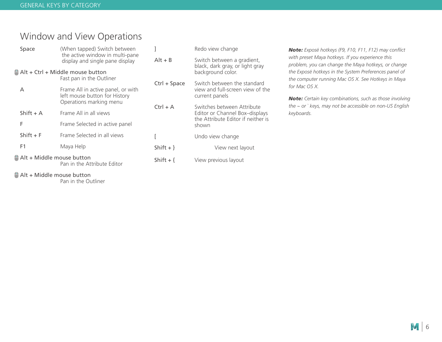# Window and View Operations

| Space                                                                                                                                                                                                                             | (When tapped) Switch between                                       |              | Redo view change                                                | Note: Exposé hotkeys (F9, F10, F11, F12) may conflict                                                   |
|-----------------------------------------------------------------------------------------------------------------------------------------------------------------------------------------------------------------------------------|--------------------------------------------------------------------|--------------|-----------------------------------------------------------------|---------------------------------------------------------------------------------------------------------|
|                                                                                                                                                                                                                                   | the active window in multi-pane<br>display and single pane display | $Alt + B$    | Switch between a gradient,<br>black, dark gray, or light gray   | with preset Maya hotkeys. If you experience this<br>problem, you can change the Maya hotkeys, or change |
|                                                                                                                                                                                                                                   | Alt + Ctrl + Middle mouse button                                   |              | background color.                                               | the Exposé hotkeys in the System Preferences panel of                                                   |
| Α                                                                                                                                                                                                                                 | Fast pan in the Outliner<br>Frame All in active panel, or with     | Ctrl + Space | Switch between the standard<br>view and full-screen view of the | the computer running Mac OS X. See Hotkeys in Maya<br>for Mac OS X.                                     |
|                                                                                                                                                                                                                                   | left mouse button for History<br>Operations marking menu           |              | current panels                                                  | <b>Note:</b> Certain key combinations, such as those involving                                          |
| Shift $+$ A                                                                                                                                                                                                                       | Frame All in all views                                             | $Ctrl + A$   | Switches between Attribute<br>Editor or Channel Box-displays    | the $\sim$ or ` keys, may not be accessible on non-US English<br>keyboards.                             |
| F                                                                                                                                                                                                                                 | Frame Selected in active panel                                     | shown        | the Attribute Editor if neither is                              |                                                                                                         |
| $Shift + F$                                                                                                                                                                                                                       | Frame Selected in all views                                        |              | Undo view change                                                |                                                                                                         |
| F <sub>1</sub>                                                                                                                                                                                                                    | Maya Help                                                          | Shift $+$ }  | View next layout                                                |                                                                                                         |
|                                                                                                                                                                                                                                   | Alt + Middle mouse button<br>Pan in the Attribute Editor           | Shift + $\{$ | View previous layout                                            |                                                                                                         |
| $\mathbb{R}^n$ . And the contract of the contract of the contract of the contract of the contract of the contract of the contract of the contract of the contract of the contract of the contract of the contract of the contract |                                                                    |              |                                                                 |                                                                                                         |

Alt + Middle mouse button

Pan in the Outliner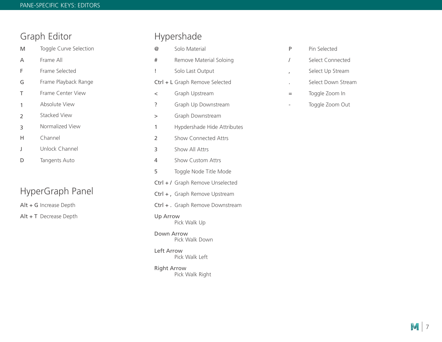### Graph Editor

M Toggle Curve Selection

- A Frame All
- F Frame Selected
- G Frame Playback Range
- T Frame Center View
- 1 Absolute View
- 2 Stacked View
- 3 Normalized View
- H Channel
- $\mathbf{J}$ Unlock Channel
- D Tangents Auto

## HyperGraph Panel

Alt + G Increase Depth

Alt + T Decrease Depth

## Hypershade

@ Solo Material # Remove Material Soloing ! Solo Last Output Ctrl + L Graph Remove Selected < Graph Upstream ? Graph Up Downstream > Graph Downstream 1 Hypdershade Hide Attributes 2 Show Connected Attrs 3 Show All Attrs 4 Show Custom Attrs 5 Toggle Node Title Mode Ctrl + / Graph Remove Unselected Ctrl +, Graph Remove Upstream Ctrl + . Graph Remove Downstream Up Arrow Pick Walk Up Down Arrow Pick Walk Down Left Arrow Pick Walk Left Right Arrow

Pick Walk Right

- P Pin Selected
- / Select Connected
- , Select Up Stream
- . Select Down Stream
- = Toggle Zoom In
- Toggle Zoom Out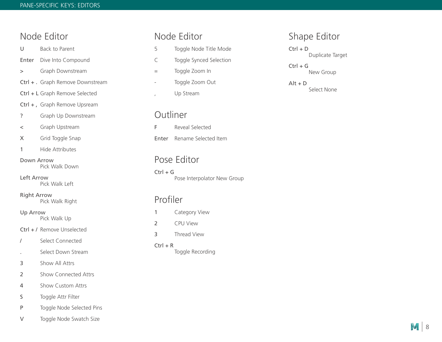### Node Editor

U Back to Parent

- Enter Dive Into Compound
- > Graph Downstream
- Ctrl + . Graph Remove Downstream
- Ctrl + L Graph Remove Selected
- Ctrl +, Graph Remove Upsream
- ? Graph Up Downstream

< Graph Upstream

- X Grid Toggle Snap
- 1 Hide Attributes

### Down Arrow

Pick Walk Down

Left Arrow Pick Walk Left

Right Arrow Pick Walk Right

Up Arrow Pick Walk Up

Ctrl + / Remove Unselected

- / Select Connected
- . Select Down Stream
- 3 Show All Attrs
- 2 Show Connected Attrs
- 4 Show Custom Attrs
- S Toggle Attr Filter
- P Toggle Node Selected Pins
- V Toggle Node Swatch Size

### Node Editor

- 5 Toggle Node Title Mode
- C Toggle Synced Selection
- = Toggle Zoom In
- Toggle Zoom Out
- , Up Stream

### **Outliner**

F Reveal Selected Enter Rename Selected Item

### Pose Editor

 $Ctrl + G$ Pose Interpolator New Group

### Profiler

- 1 Category View
- 2 CPU View
- 3 Thread View
- $Ctrl + R$ Toggle Recording

### Shape Editor

- $Ctrl + D$ Duplicate Target
- $Ctrl + G$ New Group
- $Alt + D$ Select None